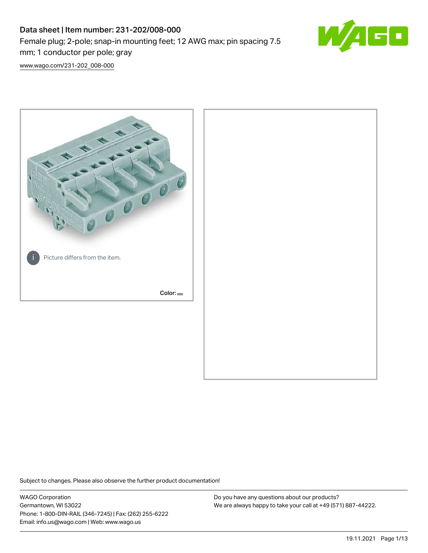# Data sheet | Item number: 231-202/008-000 Female plug; 2-pole; snap-in mounting feet; 12 AWG max; pin spacing 7.5 mm; 1 conductor per pole; gray



[www.wago.com/231-202\\_008-000](http://www.wago.com/231-202_008-000)



Subject to changes. Please also observe the further product documentation!

WAGO Corporation Germantown, WI 53022 Phone: 1-800-DIN-RAIL (346-7245) | Fax: (262) 255-6222 Email: info.us@wago.com | Web: www.wago.us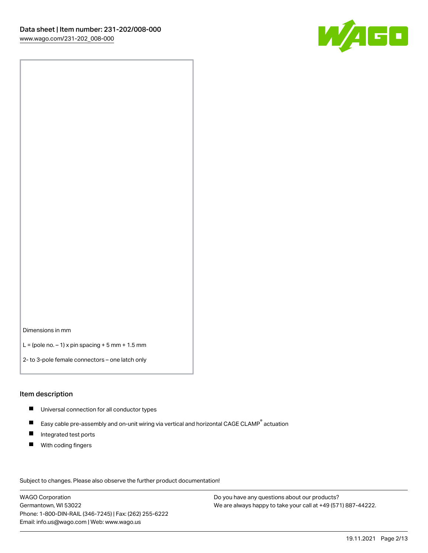

Dimensions in mm

 $L =$  (pole no.  $-1$ ) x pin spacing  $+5$  mm  $+ 1.5$  mm

2- to 3-pole female connectors – one latch only

#### Item description

- **Universal connection for all conductor types**
- Easy cable pre-assembly and on-unit wiring via vertical and horizontal CAGE CLAMP<sup>®</sup> actuation  $\blacksquare$
- $\blacksquare$ Integrated test ports
- $\blacksquare$ With coding fingers

Subject to changes. Please also observe the further product documentation! Data

WAGO Corporation Germantown, WI 53022 Phone: 1-800-DIN-RAIL (346-7245) | Fax: (262) 255-6222 Email: info.us@wago.com | Web: www.wago.us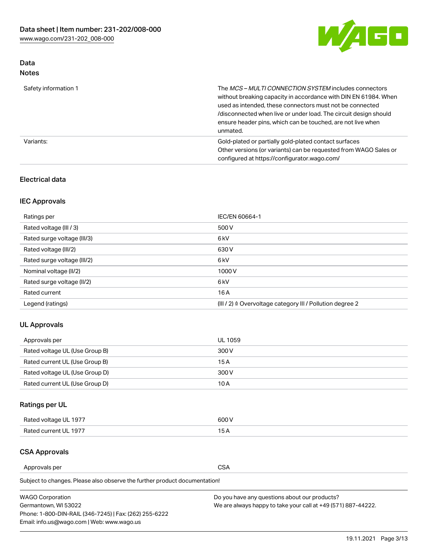

# Data Notes

| Safety information 1 | The MCS-MULTI CONNECTION SYSTEM includes connectors<br>without breaking capacity in accordance with DIN EN 61984. When<br>used as intended, these connectors must not be connected<br>/disconnected when live or under load. The circuit design should<br>ensure header pins, which can be touched, are not live when<br>unmated. |
|----------------------|-----------------------------------------------------------------------------------------------------------------------------------------------------------------------------------------------------------------------------------------------------------------------------------------------------------------------------------|
| Variants:            | Gold-plated or partially gold-plated contact surfaces<br>Other versions (or variants) can be requested from WAGO Sales or<br>configured at https://configurator.wago.com/                                                                                                                                                         |

## Electrical data

# IEC Approvals

| Ratings per                 | IEC/EN 60664-1                                                        |
|-----------------------------|-----------------------------------------------------------------------|
| Rated voltage (III / 3)     | 500 V                                                                 |
| Rated surge voltage (III/3) | 6 <sub>kV</sub>                                                       |
| Rated voltage (III/2)       | 630 V                                                                 |
| Rated surge voltage (III/2) | 6 <sub>kV</sub>                                                       |
| Nominal voltage (II/2)      | 1000V                                                                 |
| Rated surge voltage (II/2)  | 6 <sub>kV</sub>                                                       |
| Rated current               | 16A                                                                   |
| Legend (ratings)            | $(III / 2)$ $\triangle$ Overvoltage category III / Pollution degree 2 |

## UL Approvals

| Approvals per                  | UL 1059 |
|--------------------------------|---------|
| Rated voltage UL (Use Group B) | 300 V   |
| Rated current UL (Use Group B) | 15 A    |
| Rated voltage UL (Use Group D) | 300 V   |
| Rated current UL (Use Group D) | 10 A    |

# Ratings per UL

| Rated voltage UL 1977 | 500 V  |
|-----------------------|--------|
| Rated current UL 1977 | $\sim$ |

## CSA Approvals

Approvals per CSA

Subject to changes. Please also observe the further product documentation!

| <b>WAGO Corporation</b>                                | Do you have any questions about our products?                 |
|--------------------------------------------------------|---------------------------------------------------------------|
| Germantown, WI 53022                                   | We are always happy to take your call at +49 (571) 887-44222. |
| Phone: 1-800-DIN-RAIL (346-7245)   Fax: (262) 255-6222 |                                                               |
| Email: info.us@wago.com   Web: www.wago.us             |                                                               |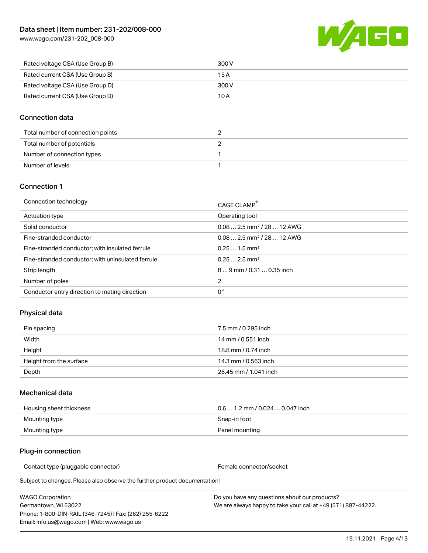[www.wago.com/231-202\\_008-000](http://www.wago.com/231-202_008-000)



| Rated voltage CSA (Use Group B) | 300 V |
|---------------------------------|-------|
| Rated current CSA (Use Group B) | 15 A  |
| Rated voltage CSA (Use Group D) | 300 V |
| Rated current CSA (Use Group D) | 10 A  |

## Connection data

| Total number of connection points |  |
|-----------------------------------|--|
| Total number of potentials        |  |
| Number of connection types        |  |
| Number of levels                  |  |

## Connection 1

| Connection technology                             | CAGE CLAMP®                            |
|---------------------------------------------------|----------------------------------------|
| Actuation type                                    | Operating tool                         |
| Solid conductor                                   | $0.082.5$ mm <sup>2</sup> / 28  12 AWG |
| Fine-stranded conductor                           | $0.082.5$ mm <sup>2</sup> / 28  12 AWG |
| Fine-stranded conductor; with insulated ferrule   | $0.251.5$ mm <sup>2</sup>              |
| Fine-stranded conductor; with uninsulated ferrule | $0.252.5$ mm <sup>2</sup>              |
| Strip length                                      | $89$ mm $/ 0.310.35$ inch              |
| Number of poles                                   | 2                                      |
| Conductor entry direction to mating direction     | 0°                                     |

## Physical data

| Pin spacing             | 7.5 mm / 0.295 inch   |
|-------------------------|-----------------------|
| Width                   | 14 mm / 0.551 inch    |
| Height                  | 18.8 mm / 0.74 inch   |
| Height from the surface | 14.3 mm / 0.563 inch  |
| Depth                   | 26.45 mm / 1.041 inch |

### Mechanical data

| Housing sheet thickness | $0.61.2$ mm / 0.024  0.047 inch |
|-------------------------|---------------------------------|
| Mounting type           | Snap-in foot                    |
| Mounting type           | Panel mounting                  |

### Plug-in connection

Contact type (pluggable connector) example and the Female connector/socket

Subject to changes. Please also observe the further product documentation!

WAGO Corporation Germantown, WI 53022 Phone: 1-800-DIN-RAIL (346-7245) | Fax: (262) 255-6222 Email: info.us@wago.com | Web: www.wago.us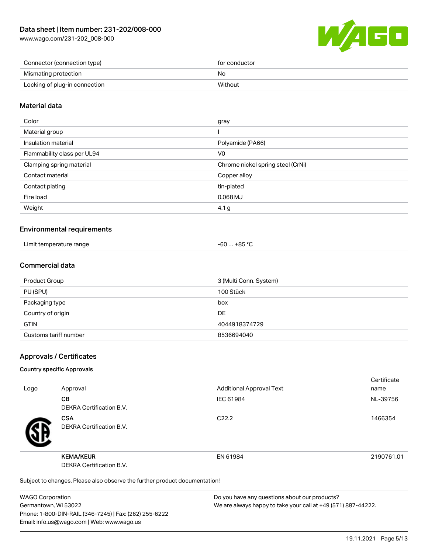[www.wago.com/231-202\\_008-000](http://www.wago.com/231-202_008-000)



| Connector (connection type)   | for conductor |
|-------------------------------|---------------|
| Mismating protection          | No            |
| Locking of plug-in connection | Without       |

## Material data

| Color                       | gray                              |
|-----------------------------|-----------------------------------|
| Material group              |                                   |
| Insulation material         | Polyamide (PA66)                  |
| Flammability class per UL94 | V0                                |
| Clamping spring material    | Chrome nickel spring steel (CrNi) |
| Contact material            | Copper alloy                      |
| Contact plating             | tin-plated                        |
| Fire load                   | $0.068$ MJ                        |
| Weight                      | 4.1 <sub>g</sub>                  |
|                             |                                   |

### Environmental requirements

| Limit temperature range<br>.<br>. | $+85 °C$<br>cn.<br>-ou |  |
|-----------------------------------|------------------------|--|
|-----------------------------------|------------------------|--|

### Commercial data

| Product Group         | 3 (Multi Conn. System) |
|-----------------------|------------------------|
| PU (SPU)              | 100 Stück              |
| Packaging type        | box                    |
| Country of origin     | <b>DE</b>              |
| <b>GTIN</b>           | 4044918374729          |
| Customs tariff number | 8536694040             |

### Approvals / Certificates

#### Country specific Approvals

| Logo | Approval                                                                   | <b>Additional Approval Text</b> | Certificate<br>name |
|------|----------------------------------------------------------------------------|---------------------------------|---------------------|
|      | <b>CB</b><br>DEKRA Certification B.V.                                      | IEC 61984                       | NL-39756            |
|      | <b>CSA</b><br><b>DEKRA Certification B.V.</b>                              | C <sub>22.2</sub>               | 1466354             |
|      | <b>KEMA/KEUR</b><br>DEKRA Certification B.V.                               | EN 61984                        | 2190761.01          |
|      | Subject to changes. Please also observe the further product documentation! |                                 |                     |

WAGO Corporation Germantown, WI 53022 Phone: 1-800-DIN-RAIL (346-7245) | Fax: (262) 255-6222 Email: info.us@wago.com | Web: www.wago.us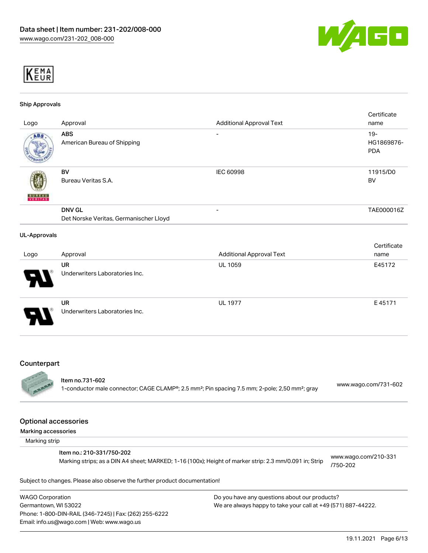



#### Ship Approvals

| Logo                | Approval                                                | <b>Additional Approval Text</b> | Certificate<br>name                |
|---------------------|---------------------------------------------------------|---------------------------------|------------------------------------|
| ABS                 | <b>ABS</b><br>American Bureau of Shipping               | $\overline{\phantom{a}}$        | $19 -$<br>HG1869876-<br><b>PDA</b> |
| <b>BUREAU</b>       | <b>BV</b><br>Bureau Veritas S.A.                        | IEC 60998                       | 11915/D0<br>BV                     |
|                     | <b>DNV GL</b><br>Det Norske Veritas, Germanischer Lloyd |                                 | TAE000016Z                         |
| <b>UL-Approvals</b> |                                                         |                                 |                                    |
| Logo                | Approval                                                | <b>Additional Approval Text</b> | Certificate<br>name                |
|                     | UR<br>Underwriters Laboratories Inc.                    | <b>UL 1059</b>                  | E45172                             |
|                     | <b>UR</b><br>Underwriters Laboratories Inc.             | <b>UL 1977</b>                  | E45171                             |

#### Counterpart

#### Item no.731-602

1-conductor male connector; CAGE CLAMP®; 2.5 mm²; Pin spacing 7.5 mm; 2-pole; 2,50 mm²; gray [www.wago.com/731-602](https://www.wago.com/731-602)

#### Optional accessories

Marking accessories

Marking strip

#### Item no.: 210-331/750-202

Marking strips; as a DIN A4 sheet; MARKED; 1-16 (100x); Height of marker strip: 2.3 mm/0.091 in; Strip

[www.wago.com/210-331](http://www.wago.com/210-331/750-202) [/750-202](http://www.wago.com/210-331/750-202)

Subject to changes. Please also observe the further product documentation!

WAGO Corporation Germantown, WI 53022 Phone: 1-800-DIN-RAIL (346-7245) | Fax: (262) 255-6222 Email: info.us@wago.com | Web: www.wago.us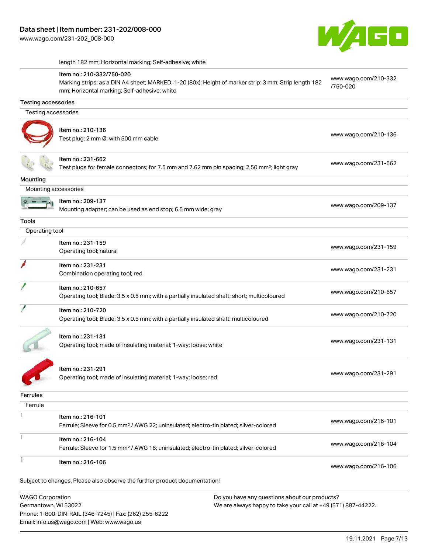

[www.wago.com/210-332](http://www.wago.com/210-332/750-020)

[/750-020](http://www.wago.com/210-332/750-020)

length 182 mm; Horizontal marking; Self-adhesive; white

#### Item no.: 210-332/750-020

Marking strips; as a DIN A4 sheet; MARKED; 1-20 (80x); Height of marker strip: 3 mm; Strip length 182 mm; Horizontal marking; Self-adhesive; white

| <b>Testing accessories</b>                                                                                                                                        |                                                                                                                              |                      |
|-------------------------------------------------------------------------------------------------------------------------------------------------------------------|------------------------------------------------------------------------------------------------------------------------------|----------------------|
| Testing accessories                                                                                                                                               |                                                                                                                              |                      |
|                                                                                                                                                                   | Item no.: 210-136<br>Test plug; 2 mm Ø; with 500 mm cable                                                                    | www.wago.com/210-136 |
|                                                                                                                                                                   | Item no.: 231-662<br>Test plugs for female connectors; for 7.5 mm and 7.62 mm pin spacing; 2,50 mm <sup>2</sup> ; light gray | www.wago.com/231-662 |
| Mounting                                                                                                                                                          |                                                                                                                              |                      |
| Mounting accessories                                                                                                                                              |                                                                                                                              |                      |
|                                                                                                                                                                   | Item no.: 209-137<br>Mounting adapter; can be used as end stop; 6.5 mm wide; gray                                            | www.wago.com/209-137 |
| <b>Tools</b>                                                                                                                                                      |                                                                                                                              |                      |
| Operating tool                                                                                                                                                    |                                                                                                                              |                      |
|                                                                                                                                                                   | Item no.: 231-159<br>Operating tool; natural                                                                                 | www.wago.com/231-159 |
|                                                                                                                                                                   | Item no.: 231-231<br>Combination operating tool; red                                                                         | www.wago.com/231-231 |
|                                                                                                                                                                   | Item no.: 210-657<br>Operating tool; Blade: 3.5 x 0.5 mm; with a partially insulated shaft; short; multicoloured             | www.wago.com/210-657 |
|                                                                                                                                                                   | Item no.: 210-720<br>Operating tool; Blade: 3.5 x 0.5 mm; with a partially insulated shaft; multicoloured                    | www.wago.com/210-720 |
|                                                                                                                                                                   | Item no.: 231-131<br>Operating tool; made of insulating material; 1-way; loose; white                                        | www.wago.com/231-131 |
|                                                                                                                                                                   | Item no.: 231-291<br>Operating tool; made of insulating material; 1-way; loose; red                                          | www.wago.com/231-291 |
| Ferrules                                                                                                                                                          |                                                                                                                              |                      |
| Ferrule                                                                                                                                                           |                                                                                                                              |                      |
| Ĭ.                                                                                                                                                                | Item no.: 216-101<br>Ferrule; Sleeve for 0.5 mm <sup>2</sup> / AWG 22; uninsulated; electro-tin plated; silver-colored       | www.wago.com/216-101 |
|                                                                                                                                                                   | Item no.: 216-104<br>Ferrule; Sleeve for 1.5 mm <sup>2</sup> / AWG 16; uninsulated; electro-tin plated; silver-colored       | www.wago.com/216-104 |
|                                                                                                                                                                   | Item no.: 216-106                                                                                                            | www.wago.com/216-106 |
|                                                                                                                                                                   | Subject to changes. Please also observe the further product documentation!                                                   |                      |
| <b>WAGO Corporation</b><br>Do you have any questions about our products?<br>Germantown, WI 53022<br>We are always happy to take your call at +49 (571) 887-44222. |                                                                                                                              |                      |

Phone: 1-800-DIN-RAIL (346-7245) | Fax: (262) 255-6222 Email: info.us@wago.com | Web: www.wago.us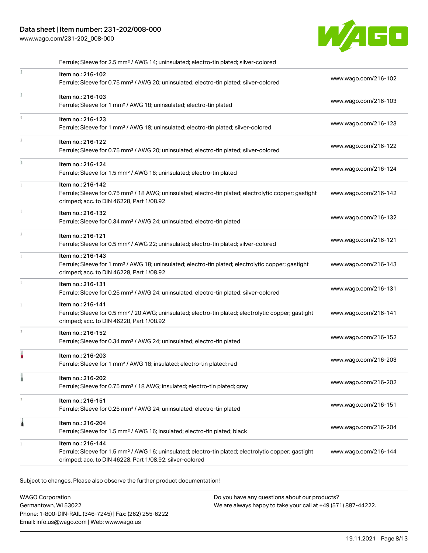# Data sheet | Item number: 231-202/008-000

[www.wago.com/231-202\\_008-000](http://www.wago.com/231-202_008-000)



|    | Ferrule; Sleeve for 2.5 mm <sup>2</sup> / AWG 14; uninsulated; electro-tin plated; silver-colored                                                                                                 |                      |
|----|---------------------------------------------------------------------------------------------------------------------------------------------------------------------------------------------------|----------------------|
|    | Item no.: 216-102<br>Ferrule; Sleeve for 0.75 mm <sup>2</sup> / AWG 20; uninsulated; electro-tin plated; silver-colored                                                                           | www.wago.com/216-102 |
| Ť. | Item no.: 216-103<br>Ferrule; Sleeve for 1 mm <sup>2</sup> / AWG 18; uninsulated; electro-tin plated                                                                                              | www.wago.com/216-103 |
| ī. | Item no.: 216-123<br>Ferrule; Sleeve for 1 mm <sup>2</sup> / AWG 18; uninsulated; electro-tin plated; silver-colored                                                                              | www.wago.com/216-123 |
| î. | Item no.: 216-122<br>Ferrule; Sleeve for 0.75 mm <sup>2</sup> / AWG 20; uninsulated; electro-tin plated; silver-colored                                                                           | www.wago.com/216-122 |
|    | Item no.: 216-124<br>Ferrule; Sleeve for 1.5 mm <sup>2</sup> / AWG 16; uninsulated; electro-tin plated                                                                                            | www.wago.com/216-124 |
| 1  | Item no.: 216-142<br>Ferrule; Sleeve for 0.75 mm <sup>2</sup> / 18 AWG; uninsulated; electro-tin plated; electrolytic copper; gastight<br>crimped; acc. to DIN 46228, Part 1/08.92                | www.wago.com/216-142 |
|    | Item no.: 216-132<br>Ferrule; Sleeve for 0.34 mm <sup>2</sup> / AWG 24; uninsulated; electro-tin plated                                                                                           | www.wago.com/216-132 |
|    | Item no.: 216-121<br>Ferrule; Sleeve for 0.5 mm <sup>2</sup> / AWG 22; uninsulated; electro-tin plated; silver-colored                                                                            | www.wago.com/216-121 |
|    | Item no.: 216-143<br>Ferrule; Sleeve for 1 mm <sup>2</sup> / AWG 18; uninsulated; electro-tin plated; electrolytic copper; gastight<br>crimped; acc. to DIN 46228, Part 1/08.92                   | www.wago.com/216-143 |
|    | Item no.: 216-131<br>Ferrule; Sleeve for 0.25 mm <sup>2</sup> / AWG 24; uninsulated; electro-tin plated; silver-colored                                                                           | www.wago.com/216-131 |
|    | Item no.: 216-141<br>Ferrule; Sleeve for 0.5 mm <sup>2</sup> / 20 AWG; uninsulated; electro-tin plated; electrolytic copper; gastight<br>crimped; acc. to DIN 46228, Part 1/08.92                 | www.wago.com/216-141 |
| A. | Item no.: 216-152<br>Ferrule; Sleeve for 0.34 mm <sup>2</sup> / AWG 24; uninsulated; electro-tin plated                                                                                           | www.wago.com/216-152 |
|    | Item no.: 216-203<br>Ferrule; Sleeve for 1 mm <sup>2</sup> / AWG 18; insulated; electro-tin plated; red                                                                                           | www.wago.com/216-203 |
|    | Item no.: 216-202<br>Ferrule; Sleeve for 0.75 mm <sup>2</sup> / 18 AWG; insulated; electro-tin plated; gray                                                                                       | www.wago.com/216-202 |
| 1  | Item no.: 216-151<br>Ferrule; Sleeve for 0.25 mm <sup>2</sup> / AWG 24; uninsulated; electro-tin plated                                                                                           | www.wago.com/216-151 |
| 1  | Item no.: 216-204<br>Ferrule; Sleeve for 1.5 mm <sup>2</sup> / AWG 16; insulated; electro-tin plated; black                                                                                       | www.wago.com/216-204 |
|    | Item no.: 216-144<br>Ferrule; Sleeve for 1.5 mm <sup>2</sup> / AWG 16; uninsulated; electro-tin plated; electrolytic copper; gastight<br>crimped; acc. to DIN 46228, Part 1/08.92; silver-colored | www.wago.com/216-144 |

Subject to changes. Please also observe the further product documentation!

WAGO Corporation Germantown, WI 53022 Phone: 1-800-DIN-RAIL (346-7245) | Fax: (262) 255-6222 Email: info.us@wago.com | Web: www.wago.us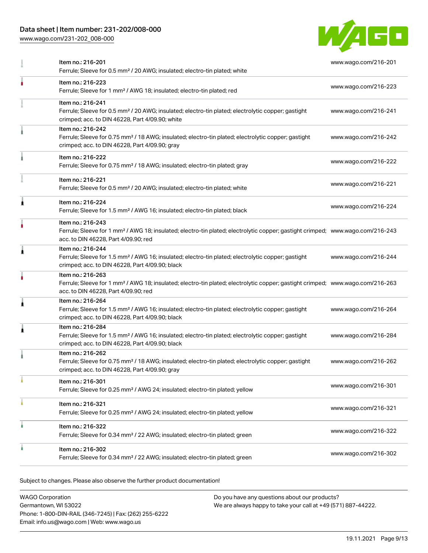## Data sheet | Item number: 231-202/008-000

[www.wago.com/231-202\\_008-000](http://www.wago.com/231-202_008-000)



|   | Item no.: 216-201<br>Ferrule; Sleeve for 0.5 mm <sup>2</sup> / 20 AWG; insulated; electro-tin plated; white                                                                                             | www.wago.com/216-201 |
|---|---------------------------------------------------------------------------------------------------------------------------------------------------------------------------------------------------------|----------------------|
|   | Item no.: 216-223<br>Ferrule; Sleeve for 1 mm <sup>2</sup> / AWG 18; insulated; electro-tin plated; red                                                                                                 | www.wago.com/216-223 |
|   | Item no.: 216-241<br>Ferrule; Sleeve for 0.5 mm <sup>2</sup> / 20 AWG; insulated; electro-tin plated; electrolytic copper; gastight<br>crimped; acc. to DIN 46228, Part 4/09.90; white                  | www.wago.com/216-241 |
|   | Item no.: 216-242<br>Ferrule; Sleeve for 0.75 mm <sup>2</sup> / 18 AWG; insulated; electro-tin plated; electrolytic copper; gastight<br>crimped; acc. to DIN 46228, Part 4/09.90; gray                  | www.wago.com/216-242 |
|   | Item no.: 216-222<br>Ferrule; Sleeve for 0.75 mm <sup>2</sup> / 18 AWG; insulated; electro-tin plated; gray                                                                                             | www.wago.com/216-222 |
|   | Item no.: 216-221<br>Ferrule; Sleeve for 0.5 mm <sup>2</sup> / 20 AWG; insulated; electro-tin plated; white                                                                                             | www.wago.com/216-221 |
| 1 | Item no.: 216-224<br>Ferrule; Sleeve for 1.5 mm <sup>2</sup> / AWG 16; insulated; electro-tin plated; black                                                                                             | www.wago.com/216-224 |
|   | Item no.: 216-243<br>Ferrule; Sleeve for 1 mm <sup>2</sup> / AWG 18; insulated; electro-tin plated; electrolytic copper; gastight crimped; www.wago.com/216-243<br>acc. to DIN 46228, Part 4/09.90; red |                      |
| 1 | Item no.: 216-244<br>Ferrule; Sleeve for 1.5 mm <sup>2</sup> / AWG 16; insulated; electro-tin plated; electrolytic copper; gastight<br>crimped; acc. to DIN 46228, Part 4/09.90; black                  | www.wago.com/216-244 |
|   | Item no.: 216-263<br>Ferrule; Sleeve for 1 mm <sup>2</sup> / AWG 18; insulated; electro-tin plated; electrolytic copper; gastight crimped; www.wago.com/216-263<br>acc. to DIN 46228, Part 4/09.90; red |                      |
| 1 | Item no.: 216-264<br>Ferrule; Sleeve for 1.5 mm <sup>2</sup> / AWG 16; insulated; electro-tin plated; electrolytic copper; gastight<br>crimped; acc. to DIN 46228, Part 4/09.90; black                  | www.wago.com/216-264 |
| ٨ | Item no.: 216-284<br>Ferrule; Sleeve for 1.5 mm <sup>2</sup> / AWG 16; insulated; electro-tin plated; electrolytic copper; gastight<br>crimped; acc. to DIN 46228, Part 4/09.90; black                  | www.wago.com/216-284 |
|   | Item no.: 216-262<br>Ferrule; Sleeve for 0.75 mm <sup>2</sup> / 18 AWG; insulated; electro-tin plated; electrolytic copper; gastight<br>crimped; acc. to DIN 46228, Part 4/09.90; gray                  | www.wago.com/216-262 |
|   | Item no.: 216-301<br>Ferrule; Sleeve for 0.25 mm <sup>2</sup> / AWG 24; insulated; electro-tin plated; yellow                                                                                           | www.wago.com/216-301 |
|   | Item no.: 216-321<br>Ferrule; Sleeve for 0.25 mm <sup>2</sup> / AWG 24; insulated; electro-tin plated; yellow                                                                                           | www.wago.com/216-321 |
|   | Item no.: 216-322<br>Ferrule; Sleeve for 0.34 mm <sup>2</sup> / 22 AWG; insulated; electro-tin plated; green                                                                                            | www.wago.com/216-322 |
|   | Item no.: 216-302<br>Ferrule; Sleeve for 0.34 mm <sup>2</sup> / 22 AWG; insulated; electro-tin plated; green                                                                                            | www.wago.com/216-302 |

.<br>Subject to changes. Please also observe the further product documentation!

| <b>WAGO Corporation</b>                                | Do you have any questions about our products?                 |
|--------------------------------------------------------|---------------------------------------------------------------|
| Germantown, WI 53022                                   | We are always happy to take your call at +49 (571) 887-44222. |
| Phone: 1-800-DIN-RAIL (346-7245)   Fax: (262) 255-6222 |                                                               |
| Email: info.us@wago.com   Web: www.wago.us             |                                                               |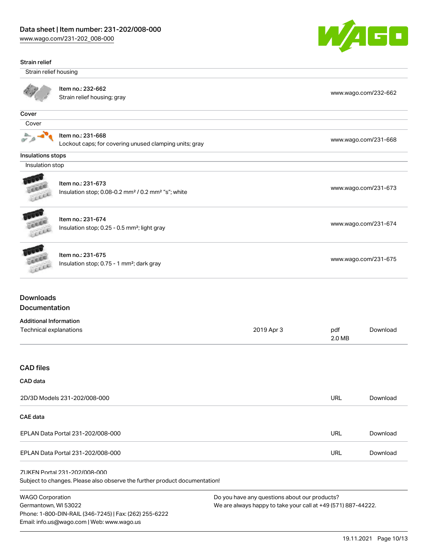Phone: 1-800-DIN-RAIL (346-7245) | Fax: (262) 255-6222

Email: info.us@wago.com | Web: www.wago.us

[www.wago.com/231-202\\_008-000](http://www.wago.com/231-202_008-000)



| Strain relief                                                              |                                                                                                              |                                                                                                                |                      |                      |
|----------------------------------------------------------------------------|--------------------------------------------------------------------------------------------------------------|----------------------------------------------------------------------------------------------------------------|----------------------|----------------------|
| Strain relief housing                                                      |                                                                                                              |                                                                                                                |                      |                      |
|                                                                            | Item no.: 232-662<br>Strain relief housing; gray                                                             |                                                                                                                |                      | www.wago.com/232-662 |
| Cover                                                                      |                                                                                                              |                                                                                                                |                      |                      |
| Cover                                                                      |                                                                                                              |                                                                                                                |                      |                      |
|                                                                            | Item no.: 231-668<br>Lockout caps; for covering unused clamping units; gray                                  |                                                                                                                |                      | www.wago.com/231-668 |
| Insulations stops                                                          |                                                                                                              |                                                                                                                |                      |                      |
| Insulation stop                                                            |                                                                                                              |                                                                                                                |                      |                      |
| Leech                                                                      | Item no.: 231-673<br>Insulation stop; 0.08-0.2 mm <sup>2</sup> / 0.2 mm <sup>2</sup> "s"; white              |                                                                                                                |                      | www.wago.com/231-673 |
| Lecce                                                                      | Item no.: 231-674<br>Insulation stop; 0.25 - 0.5 mm <sup>2</sup> ; light gray                                |                                                                                                                |                      | www.wago.com/231-674 |
| Item no.: 231-675<br>Insulation stop; 0.75 - 1 mm <sup>2</sup> ; dark gray |                                                                                                              |                                                                                                                | www.wago.com/231-675 |                      |
| <b>Downloads</b><br>Documentation                                          |                                                                                                              |                                                                                                                |                      |                      |
| <b>Additional Information</b><br>Technical explanations                    |                                                                                                              | 2019 Apr 3                                                                                                     | pdf<br>2.0 MB        | Download             |
| <b>CAD files</b>                                                           |                                                                                                              |                                                                                                                |                      |                      |
| CAD data                                                                   |                                                                                                              |                                                                                                                |                      |                      |
|                                                                            | 2D/3D Models 231-202/008-000                                                                                 |                                                                                                                | <b>URL</b>           | Download             |
| <b>CAE</b> data                                                            |                                                                                                              |                                                                                                                |                      |                      |
|                                                                            | EPLAN Data Portal 231-202/008-000                                                                            |                                                                                                                | <b>URL</b>           | Download             |
|                                                                            | EPLAN Data Portal 231-202/008-000                                                                            |                                                                                                                | <b>URL</b>           | Download             |
|                                                                            | 71 IKFN Portal 231-202/008-000<br>Subject to changes. Please also observe the further product documentation! |                                                                                                                |                      |                      |
| <b>WAGO Corporation</b><br>Germantown, WI 53022                            |                                                                                                              | Do you have any questions about our products?<br>We are always happy to take your call at +49 (571) 887-44222. |                      |                      |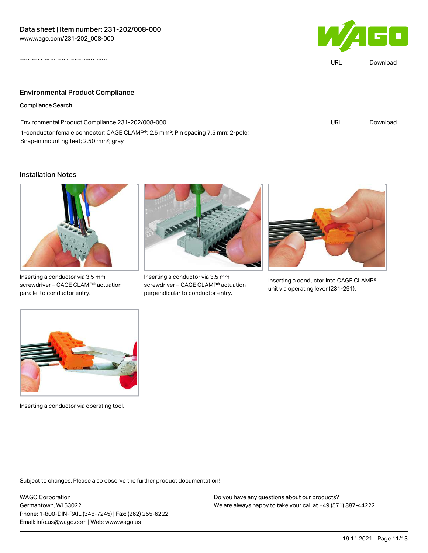

| $V1$ GHZ $V1$ and $V1$<br><b>WWW</b>                                                                      | URL | Download |
|-----------------------------------------------------------------------------------------------------------|-----|----------|
|                                                                                                           |     |          |
| <b>Environmental Product Compliance</b>                                                                   |     |          |
| <b>Compliance Search</b>                                                                                  |     |          |
| Environmental Product Compliance 231-202/008-000                                                          | URL | Download |
| 1-conductor female connector; CAGE CLAMP <sup>®</sup> ; 2.5 mm <sup>2</sup> ; Pin spacing 7.5 mm; 2-pole; |     |          |

#### Installation Notes



Snap-in mounting feet; 2,50 mm²; gray

Inserting a conductor via 3.5 mm screwdriver – CAGE CLAMP® actuation parallel to conductor entry.



Inserting a conductor via 3.5 mm screwdriver – CAGE CLAMP® actuation perpendicular to conductor entry.



Inserting a conductor into CAGE CLAMP® unit via operating lever (231-291).



Inserting a conductor via operating tool.

Subject to changes. Please also observe the further product documentation!

WAGO Corporation Germantown, WI 53022 Phone: 1-800-DIN-RAIL (346-7245) | Fax: (262) 255-6222 Email: info.us@wago.com | Web: www.wago.us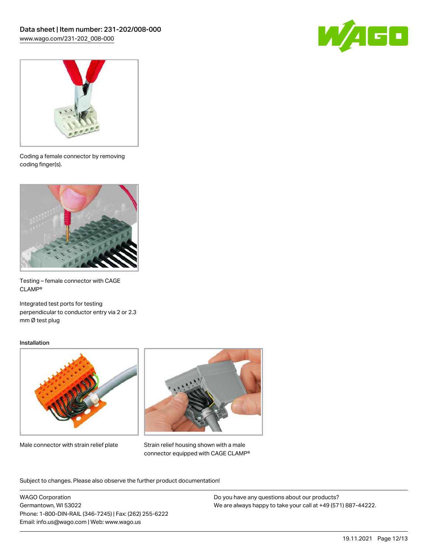



Coding a female connector by removing coding finger(s).



Testing – female connector with CAGE CLAMP®

Integrated test ports for testing perpendicular to conductor entry via 2 or 2.3 mm Ø test plug

#### Installation



Male connector with strain relief plate



Strain relief housing shown with a male connector equipped with CAGE CLAMP®

Subject to changes. Please also observe the further product documentation!

WAGO Corporation Germantown, WI 53022 Phone: 1-800-DIN-RAIL (346-7245) | Fax: (262) 255-6222 Email: info.us@wago.com | Web: www.wago.us